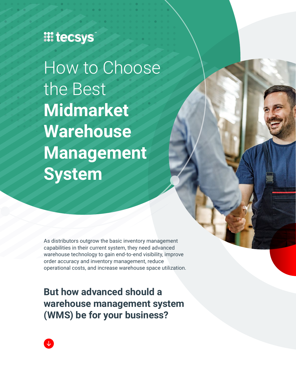### **III tecsys**

How to Choose the Best **Midmarket Warehouse Management System** 

As distributors outgrow the basic inventory management capabilities in their current system, they need advanced warehouse technology to gain end-to-end visibility, improve order accuracy and inventory management, reduce operational costs, and increase warehouse space utilization.

**But how advanced should a warehouse management system (WMS) be for your business?**

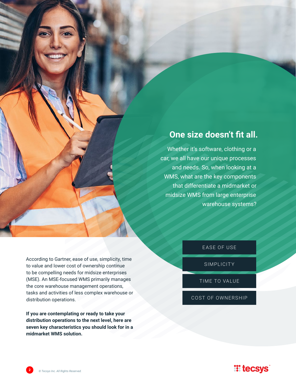#### **One size doesn't fit all.**

Whether it's software, clothing or a car, we all have our unique processes and needs. So, when looking at a WMS, what are the key components that differentiate a midmarket or midsize WMS from large enterprise warehouse systems?

According to Gartner, ease of use, simplicity, time to value and lower cost of ownership continue to be compelling needs for midsize enterprises (MSE). An MSE-focused WMS primarily manages the core warehouse management operations, tasks and activities of less complex warehouse or distribution operations.

**If you are contemplating or ready to take your distribution operations to the next level, here are seven key characteristics you should look for in a midmarket WMS solution.**

EASE OF USE

SIMPLICITY

TIME TO VALUE

COST OF OWNERSHIP

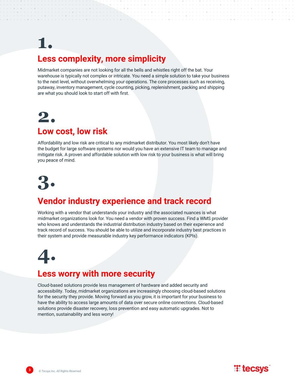### **1. Less complexity, more simplicity**

Midmarket companies are not looking for all the bells and whistles right off the bat. Your warehouse is typically not complex or intricate. You need a simple solution to take your business to the next level, without overwhelming your operations. The core processes such as receiving, putaway, inventory management, cycle counting, picking, replenishment, packing and shipping are what you should look to start off with first.

### **2. Low cost, low risk**

#### Affordability and low risk are critical to any midmarket distributor. You most likely don't have the budget for large software systems nor would you have an extensive IT team to manage and mitigate risk. A proven and affordable solution with low risk to your business is what will bring you peace of mind.



### **Vendor industry experience and track record**

Working with a vendor that understands your industry and the associated nuances is what midmarket organizations look for. You need a vendor with proven success. Find a WMS provider who knows and understands the industrial distribution industry based on their experience and track record of success. You should be able to utilize and incorporate industry best practices in their system and provide measurable industry key performance indicators (KPIs).

# **4.**

#### **Less worry with more security**

Cloud-based solutions provide less management of hardware and added security and accessibility. Today, midmarket organizations are increasingly choosing cloud-based solutions for the security they provide. Moving forward as you grow, it is important for your business to have the ability to access large amounts of data over secure online connections. Cloud-based solutions provide disaster recovery, loss prevention and easy automatic upgrades. Not to mention, sustainability and less worry!

**TE tecsys**